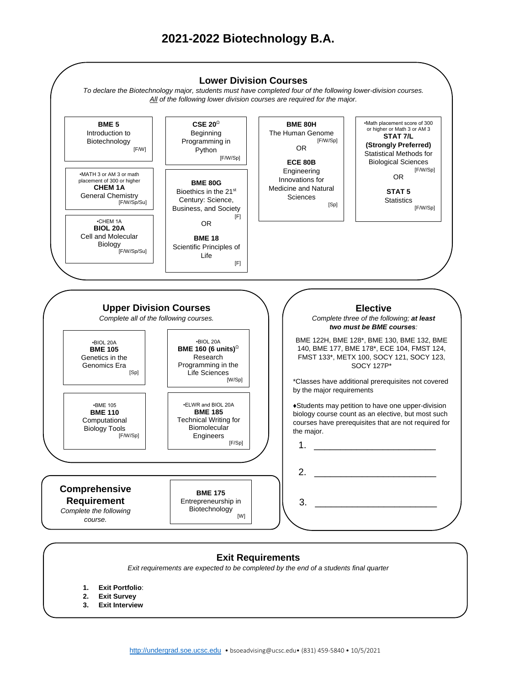

## **Exit Requirements**

*Exit requirements are expected to be completed by the end of a students final quarter*

- **1. Exit Portfolio**:
- **2. Exit Survey**
- **3. Exit Interview**